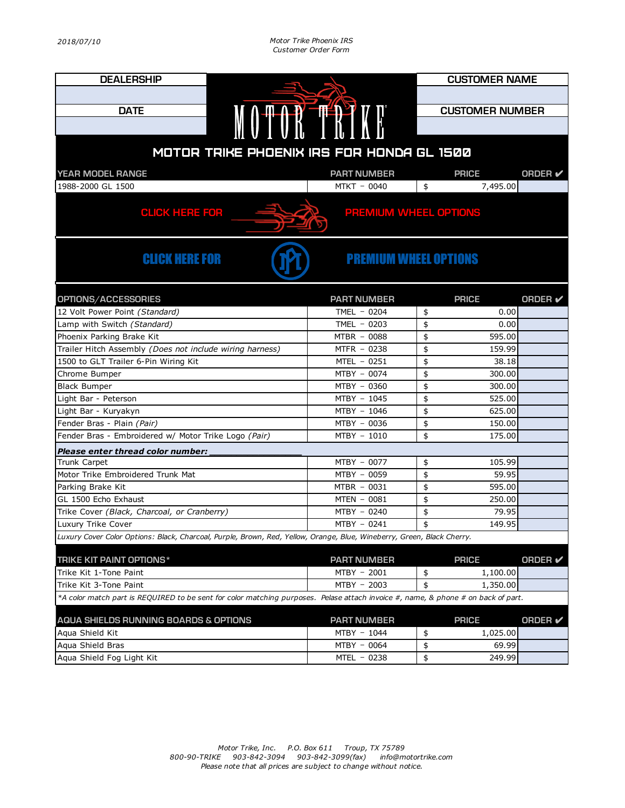| <b>DEALERSHIP</b>                                                                                                                 |                              |                        | <b>CUSTOMER NAME</b> |                |  |  |  |
|-----------------------------------------------------------------------------------------------------------------------------------|------------------------------|------------------------|----------------------|----------------|--|--|--|
|                                                                                                                                   |                              |                        |                      |                |  |  |  |
| <b>DATE</b>                                                                                                                       |                              | <b>CUSTOMER NUMBER</b> |                      |                |  |  |  |
|                                                                                                                                   | MOTOR TRIAN                  |                        |                      |                |  |  |  |
|                                                                                                                                   |                              |                        |                      |                |  |  |  |
| MOTOR TRIKE PHOENIX IRS FOR HONDA GL 1500                                                                                         |                              |                        |                      |                |  |  |  |
|                                                                                                                                   |                              |                        |                      |                |  |  |  |
| YEAR MODEL RANGE                                                                                                                  | <b>PART NUMBER</b>           |                        | <b>PRICE</b>         | <b>ORDER</b> ✔ |  |  |  |
| 1988-2000 GL 1500                                                                                                                 | MTKT - 0040                  | \$                     | 7,495.00             |                |  |  |  |
| <b>CLICK HERE FOR</b><br><b>PREMIUM WHEEL OPTIONS</b>                                                                             |                              |                        |                      |                |  |  |  |
| <b>CLICK HERE FOR</b>                                                                                                             | <b>PREMIUM WHEEL OPTIONS</b> |                        |                      |                |  |  |  |
| OPTIONS/ACCESSORIES                                                                                                               | <b>PART NUMBER</b>           |                        | <b>PRICE</b>         | <b>ORDER</b> ✔ |  |  |  |
| 12 Volt Power Point (Standard)                                                                                                    | TMEL $-0204$                 | \$                     | 0.00                 |                |  |  |  |
| Lamp with Switch (Standard)                                                                                                       | TMEL $-0203$                 | \$                     | 0.00                 |                |  |  |  |
| Phoenix Parking Brake Kit                                                                                                         | MTBR - 0088                  | \$                     | 595.00               |                |  |  |  |
| Trailer Hitch Assembly (Does not include wiring harness)                                                                          | MTFR - 0238                  | \$                     | 159.99               |                |  |  |  |
| 1500 to GLT Trailer 6-Pin Wiring Kit                                                                                              | MTEL - 0251                  | \$                     | 38.18                |                |  |  |  |
| Chrome Bumper                                                                                                                     | MTBY - 0074                  | \$                     | 300.00               |                |  |  |  |
| <b>Black Bumper</b>                                                                                                               | MTBY - 0360                  | \$                     | 300.00               |                |  |  |  |
| Light Bar - Peterson                                                                                                              | MTBY - 1045                  | \$                     | 525.00               |                |  |  |  |
| Light Bar - Kuryakyn                                                                                                              | MTBY - 1046                  | \$                     | 625.00               |                |  |  |  |
| Fender Bras - Plain (Pair)                                                                                                        | MTBY - 0036                  | \$<br>\$               | 150.00               |                |  |  |  |
| Fender Bras - Embroidered w/ Motor Trike Logo (Pair)                                                                              | MTBY - 1010                  |                        | 175.00               |                |  |  |  |
| Please enter thread color number:                                                                                                 |                              |                        |                      |                |  |  |  |
| Trunk Carpet<br>Motor Trike Embroidered Trunk Mat                                                                                 | MTBY - 0077<br>MTBY - 0059   | \$<br>\$               | 105.99<br>59.95      |                |  |  |  |
| Parking Brake Kit                                                                                                                 | MTBR - 0031                  | \$                     | 595.00               |                |  |  |  |
| GL 1500 Echo Exhaust                                                                                                              | MTEN - 0081                  | \$                     | 250.00               |                |  |  |  |
| Trike Cover (Black, Charcoal, or Cranberry)                                                                                       | MTBY - 0240                  | \$                     | 79.95                |                |  |  |  |
| Luxury Trike Cover                                                                                                                | MTBY - 0241                  | \$                     | 149.95               |                |  |  |  |
| Luxury Cover Color Options: Black, Charcoal, Purple, Brown, Red, Yellow, Orange, Blue, Wineberry, Green, Black Cherry.            |                              |                        |                      |                |  |  |  |
| TRIKE KIT PAINT OPTIONS*                                                                                                          | <b>PART NUMBER</b>           |                        | <b>PRICE</b>         | <b>ORDER</b> ✔ |  |  |  |
| Trike Kit 1-Tone Paint                                                                                                            | MTBY - 2001                  | \$                     | 1,100.00             |                |  |  |  |
| Trike Kit 3-Tone Paint                                                                                                            | MTBY - 2003                  | \$                     | 1,350.00             |                |  |  |  |
| *A color match part is REQUIRED to be sent for color matching purposes. Pelase attach invoice #, name, & phone # on back of part. |                              |                        |                      |                |  |  |  |
| AQUA SHIELDS RUNNING BOARDS & OPTIONS<br><b>PART NUMBER</b><br><b>PRICE</b><br>ORDER $\checkmark$                                 |                              |                        |                      |                |  |  |  |
| Agua Shield Kit                                                                                                                   | MTBY - 1044                  | \$                     | 1,025.00             |                |  |  |  |
| Aqua Shield Bras                                                                                                                  | MTBY - 0064                  | \$                     | 69.99                |                |  |  |  |
| Aqua Shield Fog Light Kit                                                                                                         | MTEL - 0238                  | \$                     | 249.99               |                |  |  |  |
|                                                                                                                                   |                              |                        |                      |                |  |  |  |